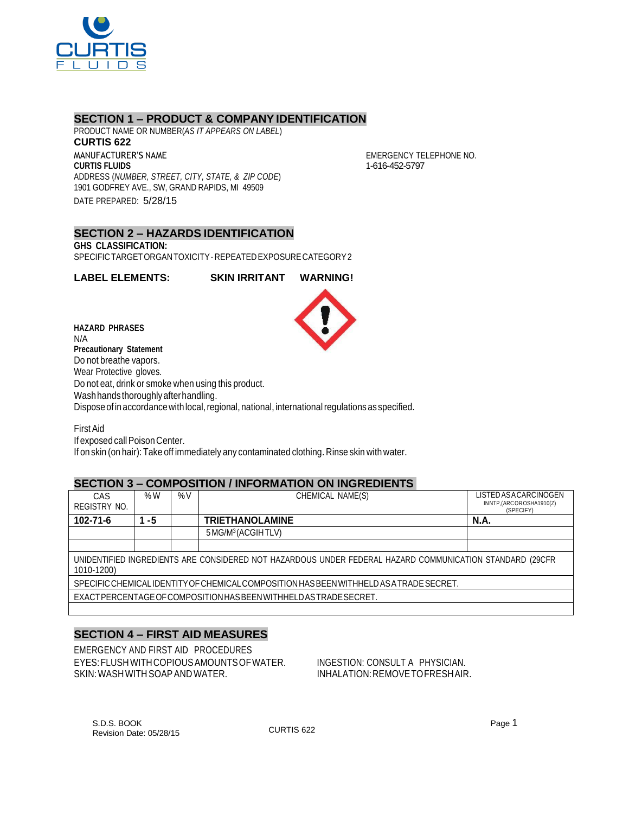

### **SECTION 1 – PRODUCT & COMPANY IDENTIFICATION**

PRODUCT NAME OR NUMBER(*AS IT APPEARS ON LABEL*) **CURTIS 622** MANUFACTURER'S NAME **CURTIS FLUIDS** ADDRESS (*NUMBER, STREET, CITY, STATE, & ZIP CODE*) 1901 GODFREY AVE., SW, GRAND RAPIDS, MI 49509 DATE PREPARED: 5/28/15

EMERGENCY TELEPHONE NO. 1-616-452-5797

#### **SECTION 2 – HAZARDS IDENTIFICATION GHS CLASSIFICATION:** SPECIFICTARGETORGANTOXICITY–REPEATEDEXPOSURECATEGORY2

**LABEL ELEMENTS: SKIN IRRITANT WARNING!**

**HAZARD PHRASES** N/A **Precautionary Statement** Do not breathe vapors. Wear Protective gloves. Do not eat, drink or smoke when using this product. Wash hands thoroughly after handling. Dispose of in accordance with local, regional, national, international regulations as specified.

FirstAid If exposed call Poison Center. If on skin (on hair): Take off immediately any contaminated clothing. Rinse skin with water.

## **SECTION 3 – COMPOSITION / INFORMATION ON INGREDIENTS**

| CAS                                                                                                                    | %W | $\%V$ | CHEMICAL NAME(S)               | LISTED AS A CARCINOGEN               |  |  |
|------------------------------------------------------------------------------------------------------------------------|----|-------|--------------------------------|--------------------------------------|--|--|
| REGISTRY NO.                                                                                                           |    |       |                                | INNTP,(ARCOROSHA1910(Z)<br>(SPECIFY) |  |  |
| $102 - 71 - 6$                                                                                                         | -5 |       | <b>TRIETHANOLAMINE</b>         | <b>N.A.</b>                          |  |  |
|                                                                                                                        |    |       | 5 MG/M <sup>3</sup> (ACGIHTLV) |                                      |  |  |
|                                                                                                                        |    |       |                                |                                      |  |  |
| UNIDENTIFIED INGREDIENTS ARE CONSIDERED NOT HAZARDOUS UNDER FEDERAL HAZARD COMMUNICATION STANDARD (29CFR<br>1010-1200) |    |       |                                |                                      |  |  |
| SPECIFIC CHEMICAL IDENTITY OF CHEMICAL COMPOSITION HAS BEEN WITHHELD AS A TRADE SECRET.                                |    |       |                                |                                      |  |  |
| EXACTPERCENTAGE OF COMPOSITION HAS BEEN WITH HELD AS TRADE SECRET.                                                     |    |       |                                |                                      |  |  |
|                                                                                                                        |    |       |                                |                                      |  |  |

# **SECTION 4 – FIRST AID MEASURES**

EMERGENCY AND FIRST AID PROCEDURES EYES:FLUSHWITHCOPIOUSAMOUNTSOFWATER. INGESTION: CONSULT A PHYSICIAN. SKIN: WASH WITH SOAP AND WATER. IN A RELATION: REMOVE TO FRESHAIR.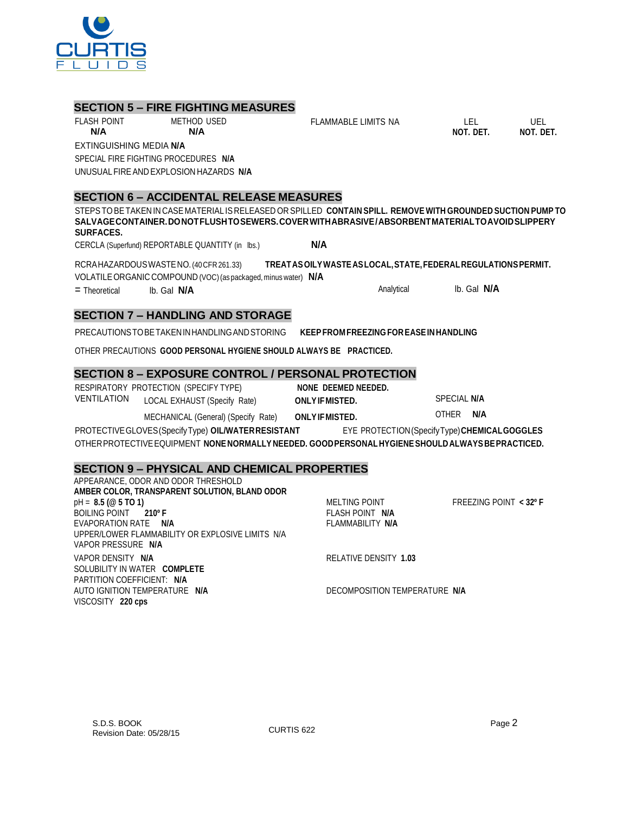# **SECTION 5 – FIRE FIGHTING MEASURES**

FLASH POINT METHOD USED

**N/A N/A**

EXTINGUISHING MEDIA **N/A** SPECIAL FIRE FIGHTING PROCEDURES **N/A** UNUSUALFIREAND EXPLOSION HAZARDS **N/A**

# **SECTION 6 – ACCIDENTAL RELEASE MEASURES**

STEPSTOBETAKEN IN CASE MATERIAL IS RELEASED OR SPILLED **CONTAIN SPILL. REMOVE WITH GROUNDED SUCTION PUMP TO SALVAGECONTAINER.DONOTFLUSHTOSEWERS.COVERWITHABRASIVE/ABSORBENTMATERIALTOAVOIDSLIPPERY SURFACES.**

CERCLA (Superfund) REPORTABLE QUANTITY (in lbs.) **N/A**

RCRAHAZARDOUSWASTENO.(40CFR261.33) **TREATASOILYWASTEASLOCAL,STATE,FEDERALREGULATIONSPERMIT.** VOLATILEORGANIC COMPOUND (VOC)(as packaged, minus water) **N/A**

= Theoretical lb. Gal **N/A** Analytical lb. Gal **N/A**

# **SECTION 7 – HANDLING AND STORAGE**

PRECAUTIONSTOBETAKENINHANDLINGANDSTORING **KEEPFROM FREEZING FOREASEINHANDLING**

OTHER PRECAUTIONS **GOOD PERSONAL HYGIENE SHOULD ALWAYS BE PRACTICED.**

# **SECTION 8 – EXPOSURE CONTROL / PERSONAL PROTECTION**

RESPIRATORY PROTECTION (SPECIFY TYPE) **NONE DEEMED NEEDED.** VENTILATION LOCAL EXHAUST (Specify Rate) **ONLYIFMISTED.** SPECIAL **N/A**

MECHANICAL (General) (Specify Rate) **ONLYIFMISTED.** OTHER **N/A**

PROTECTIVEGLOVES(SpecifyType) **OIL/WATERRESISTANT** EYE PROTECTION(SpecifyType)**CHEMICALGOGGLES** OTHERPROTECTIVEEQUIPMENT **NONENORMALLY NEEDED. GOODPERSONALHYGIENESHOULDALWAYSBEPRACTICED.**

## **SECTION 9 – PHYSICAL AND CHEMICAL PROPERTIES**

| APPEARANCE, ODOR AND ODOR THRESHOLD              |                               |                          |
|--------------------------------------------------|-------------------------------|--------------------------|
| AMBER COLOR, TRANSPARENT SOLUTION, BLAND ODOR    |                               |                          |
| $pH = 8.5 (@ 5 TO 1)$                            | MELTING POINT                 | FREEZING POINT $<$ 32° F |
| BOILING POINT 210°F                              | FLASH POINT N/A               |                          |
| EVAPORATION RATE N/A                             | FLAMMABILITY N/A              |                          |
| UPPER/LOWER FLAMMABILITY OR EXPLOSIVE LIMITS N/A |                               |                          |
| VAPOR PRESSURE N/A                               |                               |                          |
| VAPOR DENSITY N/A                                | RELATIVE DENSITY 1.03         |                          |
| SOLUBILITY IN WATER COMPLETE                     |                               |                          |
| PARTITION COEFFICIENT: N/A                       |                               |                          |
| AUTO IGNITION TEMPERATURE N/A                    | DECOMPOSITION TEMPERATURE N/A |                          |
| VISCOSITY 220 cps                                |                               |                          |



FLAMMABLE LIMITS NA LEL UEL

**NOT. DET. NOT. DET.**